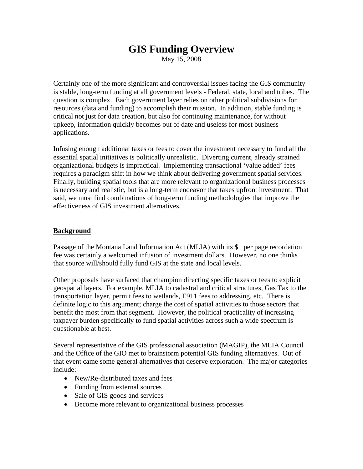# **GIS Funding Overview**

May 15, 2008

Certainly one of the more significant and controversial issues facing the GIS community is stable, long-term funding at all government levels - Federal, state, local and tribes. The question is complex. Each government layer relies on other political subdivisions for resources (data and funding) to accomplish their mission. In addition, stable funding is critical not just for data creation, but also for continuing maintenance, for without upkeep, information quickly becomes out of date and useless for most business applications.

Infusing enough additional taxes or fees to cover the investment necessary to fund all the essential spatial initiatives is politically unrealistic. Diverting current, already strained organizational budgets is impractical. Implementing transactional 'value added' fees requires a paradigm shift in how we think about delivering government spatial services. Finally, building spatial tools that are more relevant to organizational business processes is necessary and realistic, but is a long-term endeavor that takes upfront investment. That said, we must find combinations of long-term funding methodologies that improve the effectiveness of GIS investment alternatives.

#### **Background**

Passage of the Montana Land Information Act (MLIA) with its \$1 per page recordation fee was certainly a welcomed infusion of investment dollars. However, no one thinks that source will/should fully fund GIS at the state and local levels.

Other proposals have surfaced that champion directing specific taxes or fees to explicit geospatial layers. For example, MLIA to cadastral and critical structures, Gas Tax to the transportation layer, permit fees to wetlands, E911 fees to addressing, etc. There is definite logic to this argument; charge the cost of spatial activities to those sectors that benefit the most from that segment. However, the political practicality of increasing taxpayer burden specifically to fund spatial activities across such a wide spectrum is questionable at best.

Several representative of the GIS professional association (MAGIP), the MLIA Council and the Office of the GIO met to brainstorm potential GIS funding alternatives. Out of that event came some general alternatives that deserve exploration. The major categories include:

- New/Re-distributed taxes and fees
- Funding from external sources
- Sale of GIS goods and services
- Become more relevant to organizational business processes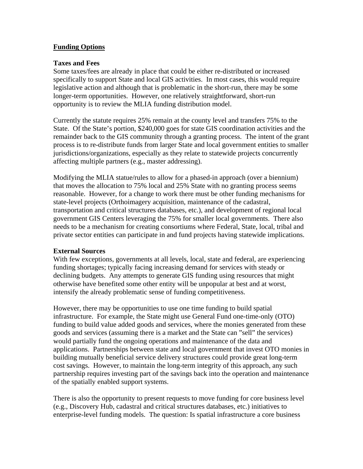# **Funding Options**

#### **Taxes and Fees**

Some taxes/fees are already in place that could be either re-distributed or increased specifically to support State and local GIS activities. In most cases, this would require legislative action and although that is problematic in the short-run, there may be some longer-term opportunities. However, one relatively straightforward, short-run opportunity is to review the MLIA funding distribution model.

Currently the statute requires 25% remain at the county level and transfers 75% to the State. Of the State's portion, \$240,000 goes for state GIS coordination activities and the remainder back to the GIS community through a granting process. The intent of the grant process is to re-distribute funds from larger State and local government entities to smaller jurisdictions/organizations, especially as they relate to statewide projects concurrently affecting multiple partners (e.g., master addressing).

Modifying the MLIA statue/rules to allow for a phased-in approach (over a biennium) that moves the allocation to 75% local and 25% State with no granting process seems reasonable. However, for a change to work there must be other funding mechanisms for state-level projects (Orthoimagery acquisition, maintenance of the cadastral, transportation and critical structures databases, etc.), and development of regional local government GIS Centers leveraging the 75% for smaller local governments. There also needs to be a mechanism for creating consortiums where Federal, State, local, tribal and private sector entities can participate in and fund projects having statewide implications.

## **External Sources**

With few exceptions, governments at all levels, local, state and federal, are experiencing funding shortages; typically facing increasing demand for services with steady or declining budgets. Any attempts to generate GIS funding using resources that might otherwise have benefited some other entity will be unpopular at best and at worst, intensify the already problematic sense of funding competitiveness.

However, there may be opportunities to use one time funding to build spatial infrastructure. For example, the State might use General Fund one-time-only (OTO) funding to build value added goods and services, where the monies generated from these goods and services (assuming there is a market and the State can "sell" the services) would partially fund the ongoing operations and maintenance of the data and applications. Partnerships between state and local government that invest OTO monies in building mutually beneficial service delivery structures could provide great long-term cost savings. However, to maintain the long-term integrity of this approach, any such partnership requires investing part of the savings back into the operation and maintenance of the spatially enabled support systems.

There is also the opportunity to present requests to move funding for core business level (e.g., Discovery Hub, cadastral and critical structures databases, etc.) initiatives to enterprise-level funding models. The question: Is spatial infrastructure a core business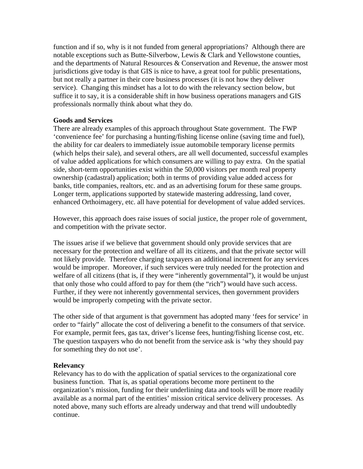function and if so, why is it not funded from general appropriations? Although there are notable exceptions such as Butte-Silverbow, Lewis & Clark and Yellowstone counties, and the departments of Natural Resources & Conservation and Revenue, the answer most jurisdictions give today is that GIS is nice to have, a great tool for public presentations, but not really a partner in their core business processes (it is not how they deliver service). Changing this mindset has a lot to do with the relevancy section below, but suffice it to say, it is a considerable shift in how business operations managers and GIS professionals normally think about what they do.

#### **Goods and Services**

There are already examples of this approach throughout State government. The FWP 'convenience fee' for purchasing a hunting/fishing license online (saving time and fuel), the ability for car dealers to immediately issue automobile temporary license permits (which helps their sale), and several others, are all well documented, successful examples of value added applications for which consumers are willing to pay extra. On the spatial side, short-term opportunities exist within the 50,000 visitors per month real property ownership (cadastral) application; both in terms of providing value added access for banks, title companies, realtors, etc. and as an advertising forum for these same groups. Longer term, applications supported by statewide mastering addressing, land cover, enhanced Orthoimagery, etc. all have potential for development of value added services.

However, this approach does raise issues of social justice, the proper role of government, and competition with the private sector.

The issues arise if we believe that government should only provide services that are necessary for the protection and welfare of all its citizens, and that the private sector will not likely provide. Therefore charging taxpayers an additional increment for any services would be improper. Moreover, if such services were truly needed for the protection and welfare of all citizens (that is, if they were "inherently governmental"), it would be unjust that only those who could afford to pay for them (the "rich") would have such access. Further, if they were not inherently governmental services, then government providers would be improperly competing with the private sector.

The other side of that argument is that government has adopted many 'fees for service' in order to "fairly" allocate the cost of delivering a benefit to the consumers of that service. For example, permit fees, gas tax, driver's license fees, hunting/fishing license cost, etc. The question taxpayers who do not benefit from the service ask is 'why they should pay for something they do not use'.

## **Relevancy**

Relevancy has to do with the application of spatial services to the organizational core business function. That is, as spatial operations become more pertinent to the organization's mission, funding for their underlining data and tools will be more readily available as a normal part of the entities' mission critical service delivery processes. As noted above, many such efforts are already underway and that trend will undoubtedly continue.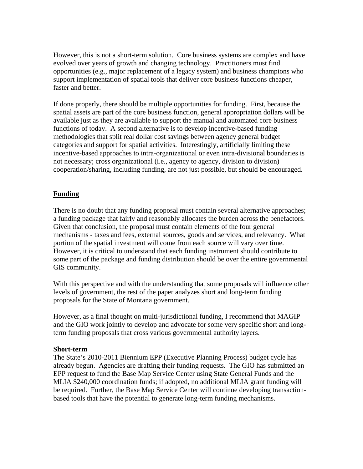However, this is not a short-term solution. Core business systems are complex and have evolved over years of growth and changing technology. Practitioners must find opportunities (e.g., major replacement of a legacy system) and business champions who support implementation of spatial tools that deliver core business functions cheaper, faster and better.

If done properly, there should be multiple opportunities for funding. First, because the spatial assets are part of the core business function, general appropriation dollars will be available just as they are available to support the manual and automated core business functions of today. A second alternative is to develop incentive-based funding methodologies that split real dollar cost savings between agency general budget categories and support for spatial activities. Interestingly, artificially limiting these incentive-based approaches to intra-organizational or even intra-divisional boundaries is not necessary; cross organizational (i.e., agency to agency, division to division) cooperation/sharing, including funding, are not just possible, but should be encouraged.

# **Funding**

There is no doubt that any funding proposal must contain several alternative approaches; a funding package that fairly and reasonably allocates the burden across the benefactors. Given that conclusion, the proposal must contain elements of the four general mechanisms - taxes and fees, external sources, goods and services, and relevancy. What portion of the spatial investment will come from each source will vary over time. However, it is critical to understand that each funding instrument should contribute to some part of the package and funding distribution should be over the entire governmental GIS community.

With this perspective and with the understanding that some proposals will influence other levels of government, the rest of the paper analyzes short and long-term funding proposals for the State of Montana government.

However, as a final thought on multi-jurisdictional funding, I recommend that MAGIP and the GIO work jointly to develop and advocate for some very specific short and longterm funding proposals that cross various governmental authority layers.

## **Short-term**

The State's 2010-2011 Biennium EPP (Executive Planning Process) budget cycle has already begun. Agencies are drafting their funding requests. The GIO has submitted an EPP request to fund the Base Map Service Center using State General Funds and the MLIA \$240,000 coordination funds; if adopted, no additional MLIA grant funding will be required. Further, the Base Map Service Center will continue developing transactionbased tools that have the potential to generate long-term funding mechanisms.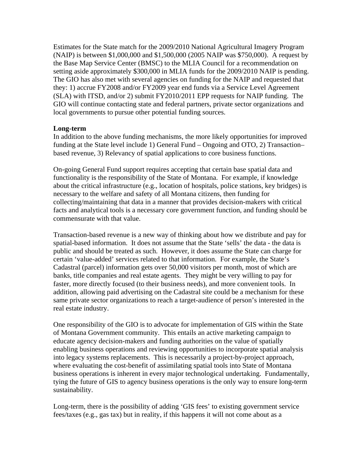Estimates for the State match for the 2009/2010 National Agricultural Imagery Program (NAIP) is between \$1,000,000 and \$1,500,000 (2005 NAIP was \$750,000). A request by the Base Map Service Center (BMSC) to the MLIA Council for a recommendation on setting aside approximately \$300,000 in MLIA funds for the 2009/2010 NAIP is pending. The GIO has also met with several agencies on funding for the NAIP and requested that they: 1) accrue FY2008 and/or FY2009 year end funds via a Service Level Agreement (SLA) with ITSD, and/or 2) submit FY2010/2011 EPP requests for NAIP funding. The GIO will continue contacting state and federal partners, private sector organizations and local governments to pursue other potential funding sources.

## **Long-term**

In addition to the above funding mechanisms, the more likely opportunities for improved funding at the State level include 1) General Fund – Ongoing and OTO, 2) Transaction– based revenue, 3) Relevancy of spatial applications to core business functions.

On-going General Fund support requires accepting that certain base spatial data and functionality is the responsibility of the State of Montana. For example, if knowledge about the critical infrastructure (e.g., location of hospitals, police stations, key bridges) is necessary to the welfare and safety of all Montana citizens, then funding for collecting/maintaining that data in a manner that provides decision-makers with critical facts and analytical tools is a necessary core government function, and funding should be commensurate with that value.

Transaction-based revenue is a new way of thinking about how we distribute and pay for spatial-based information. It does not assume that the State 'sells' the data - the data is public and should be treated as such. However, it does assume the State can charge for certain 'value-added' services related to that information. For example, the State's Cadastral (parcel) information gets over 50,000 visitors per month, most of which are banks, title companies and real estate agents. They might be very willing to pay for faster, more directly focused (to their business needs), and more convenient tools. In addition, allowing paid advertising on the Cadastral site could be a mechanism for these same private sector organizations to reach a target-audience of person's interested in the real estate industry.

One responsibility of the GIO is to advocate for implementation of GIS within the State of Montana Government community. This entails an active marketing campaign to educate agency decision-makers and funding authorities on the value of spatially enabling business operations and reviewing opportunities to incorporate spatial analysis into legacy systems replacements. This is necessarily a project-by-project approach, where evaluating the cost-benefit of assimilating spatial tools into State of Montana business operations is inherent in every major technological undertaking. Fundamentally, tying the future of GIS to agency business operations is the only way to ensure long-term sustainability.

Long-term, there is the possibility of adding 'GIS fees' to existing government service fees/taxes (e.g., gas tax) but in reality, if this happens it will not come about as a